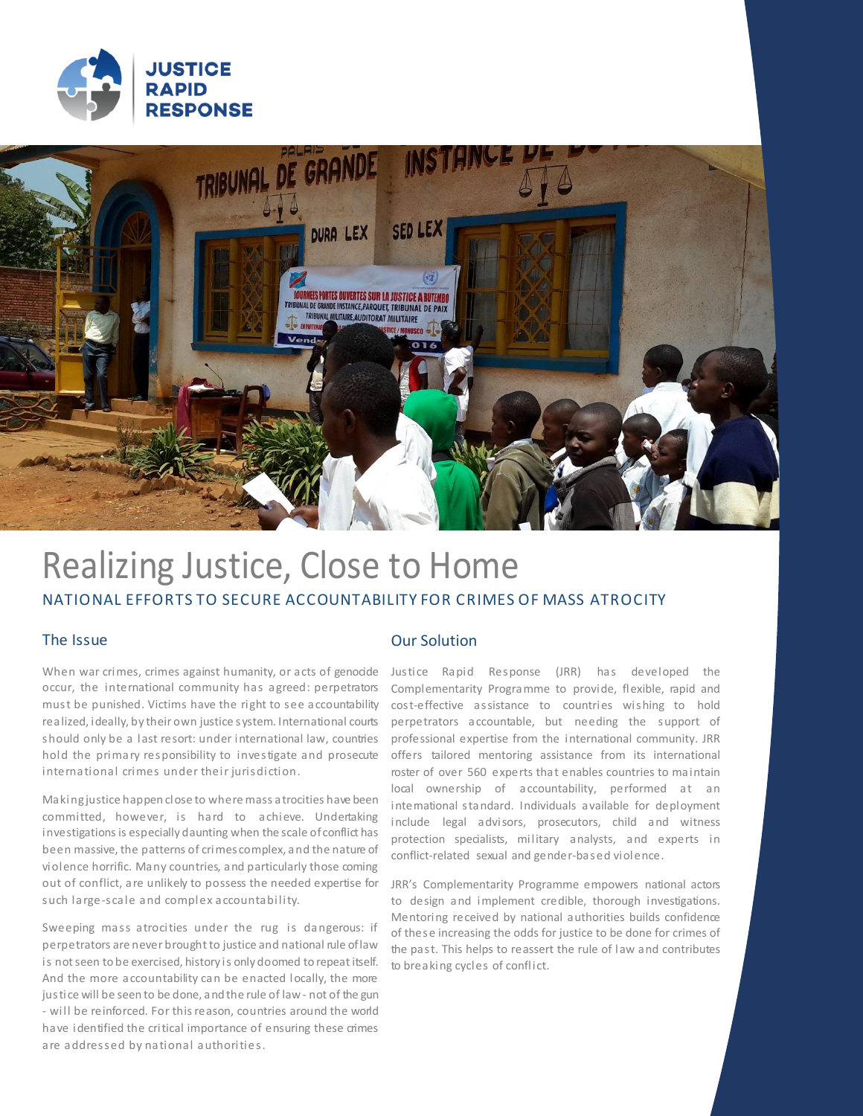



# Realizing Justice, Close to Home NATIONAL EFFORTS TO SECURE ACCOUNTABILITY FOR CRIMES OF MASS ATROCITY

### The Issue

When war crimes, crimes against humanity, or acts of genocide occur, the international community has agreed: perpetrators must be punished. Victims have the right to see accountability realized, ideally, by their own justice system. International courts should only be a last resort: under international law, countries hold the primary responsibility to investigate and prosecute international crimes under their jurisdiction.

Making justice happen close to where mass atrocities have been committed, however, is hard to achieve. Undertaking investigations is especially daunting when the scale of conflict has been massive, the patterns of crimes complex, and the nature of violence horrific. Many countries, and particularly those coming out of conflict, are unlikely to possess the needed expertise for such large-scale and complex accountability.

Sweeping mass atrocities under the rug is dangerous: if perpetrators are never brought to justice and national rule of law is not seen to be exercised, history is only doomed to repeat itself. And the more accountability can be enacted locally, the more justice will be seen to be done, and the rule of law - not of the gun - will be reinforced. For this reason, countries around the world have identified the critical importance of ensuring these crimes are addressed by national authorities.

### Our Solution

Justice Rapid Response (JRR) has developed the Complementarity Programme to provide, flexible, rapid and cost-effective assistance to countries wishing to hold perpetrators accountable, but needing the support of professional expertise from the international community. JRR offers tailored mentoring assistance from its international roster of over 560 experts that enables countries to maintain local ownership of accountability, performed at an intemational standard. Individuals available for deployment include legal advisors, prosecutors, child and witness protection specialists, military analysts, and experts in conflict-related sexual and gender-based violence.

JRR's Complementarity Programme empowers national actors to design and implement credible, thorough investigations. Mentoring received by national authorities builds confidence of these increasing the odds for justice to be done for crimes of the past. This helps to reassert the rule of law and contributes to breaking cycles of conflict.